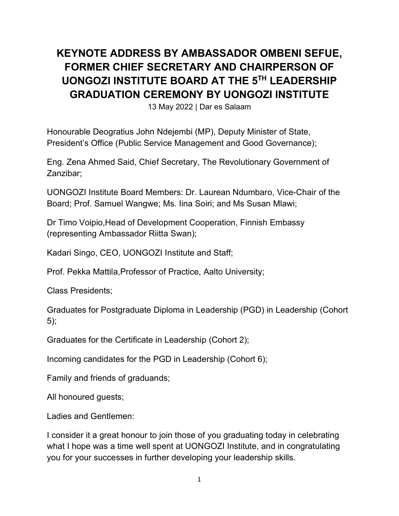## **KEYNOTE ADDRESS BY AMBASSADOR OMBENI SEFUE, FORMER CHIEF SECRETARY AND CHAIRPERSON OF UONGOZI INSTITUTE BOARD AT THE 5TH LEADERSHIP GRADUATION CEREMONY BY UONGOZI INSTITUTE**

13 May 2022 | Dar es Salaam

Honourable Deogratius John Ndejembi (MP), Deputy Minister of State, President's Office (Public Service Management and Good Governance);

Eng. Zena Ahmed Said, Chief Secretary, The Revolutionary Government of Zanzibar;

UONGOZI Institute Board Members: Dr. Laurean Ndumbaro, Vice-Chair of the Board; Prof. Samuel Wangwe; Ms. Iina Soiri; and Ms Susan Mlawi;

Dr Timo Voipio,Head of Development Cooperation, Finnish Embassy (representing Ambassador Riitta Swan);

Kadari Singo, CEO, UONGOZI Institute and Staff;

Prof. Pekka Mattila,Professor of Practice, Aalto University;

Class Presidents;

Graduates for Postgraduate Diploma in Leadership (PGD) in Leadership (Cohort 5);

Graduates for the Certificate in Leadership (Cohort 2);

Incoming candidates for the PGD in Leadership (Cohort 6);

Family and friends of graduands;

All honoured guests;

Ladies and Gentlemen:

I consider it a great honour to join those of you graduating today in celebrating what I hope was a time well spent at UONGOZI Institute, and in congratulating you for your successes in further developing your leadership skills.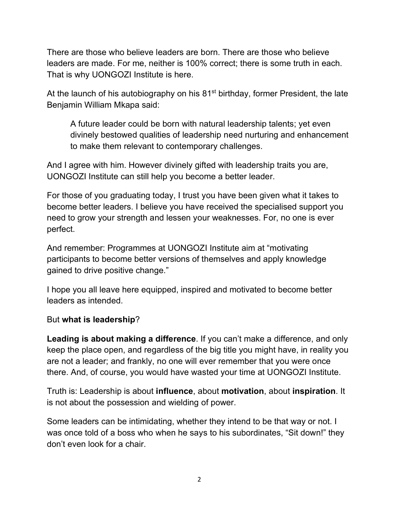There are those who believe leaders are born. There are those who believe leaders are made. For me, neither is 100% correct; there is some truth in each. That is why UONGOZI Institute is here.

At the launch of his autobiography on his 81<sup>st</sup> birthday, former President, the late Benjamin William Mkapa said:

A future leader could be born with natural leadership talents; yet even divinely bestowed qualities of leadership need nurturing and enhancement to make them relevant to contemporary challenges.

And I agree with him. However divinely gifted with leadership traits you are, UONGOZI Institute can still help you become a better leader.

For those of you graduating today, I trust you have been given what it takes to become better leaders. I believe you have received the specialised support you need to grow your strength and lessen your weaknesses. For, no one is ever perfect.

And remember: Programmes at UONGOZI Institute aim at "motivating participants to become better versions of themselves and apply knowledge gained to drive positive change."

I hope you all leave here equipped, inspired and motivated to become better leaders as intended.

## But **what is leadership**?

**Leading is about making a difference**. If you can't make a difference, and only keep the place open, and regardless of the big title you might have, in reality you are not a leader; and frankly, no one will ever remember that you were once there. And, of course, you would have wasted your time at UONGOZI Institute.

Truth is: Leadership is about **influence**, about **motivation**, about **inspiration**. It is not about the possession and wielding of power.

Some leaders can be intimidating, whether they intend to be that way or not. I was once told of a boss who when he says to his subordinates, "Sit down!" they don't even look for a chair.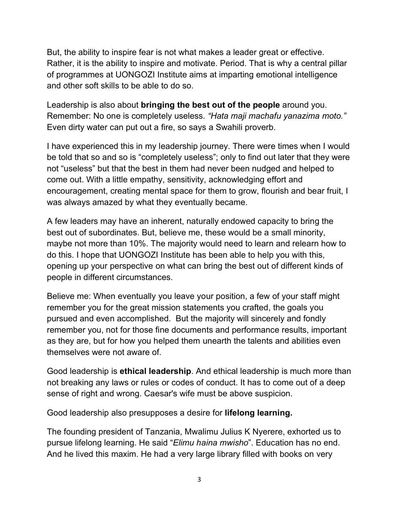But, the ability to inspire fear is not what makes a leader great or effective. Rather, it is the ability to inspire and motivate. Period. That is why a central pillar of programmes at UONGOZI Institute aims at imparting emotional intelligence and other soft skills to be able to do so.

Leadership is also about **bringing the best out of the people** around you. Remember: No one is completely useless*. "Hata maji machafu yanazima moto."* Even dirty water can put out a fire, so says a Swahili proverb.

I have experienced this in my leadership journey. There were times when I would be told that so and so is "completely useless"; only to find out later that they were not "useless" but that the best in them had never been nudged and helped to come out. With a little empathy, sensitivity, acknowledging effort and encouragement, creating mental space for them to grow, flourish and bear fruit, I was always amazed by what they eventually became.

A few leaders may have an inherent, naturally endowed capacity to bring the best out of subordinates. But, believe me, these would be a small minority, maybe not more than 10%. The majority would need to learn and relearn how to do this. I hope that UONGOZI Institute has been able to help you with this, opening up your perspective on what can bring the best out of different kinds of people in different circumstances.

Believe me: When eventually you leave your position, a few of your staff might remember you for the great mission statements you crafted, the goals you pursued and even accomplished. But the majority will sincerely and fondly remember you, not for those fine documents and performance results, important as they are, but for how you helped them unearth the talents and abilities even themselves were not aware of.

Good leadership is **ethical leadership**. And ethical leadership is much more than not breaking any laws or rules or codes of conduct. It has to come out of a deep sense of right and wrong. Caesar's wife must be above suspicion.

Good leadership also presupposes a desire for **lifelong learning.**

The founding president of Tanzania, Mwalimu Julius K Nyerere, exhorted us to pursue lifelong learning. He said "*Elimu haina mwisho*". Education has no end. And he lived this maxim. He had a very large library filled with books on very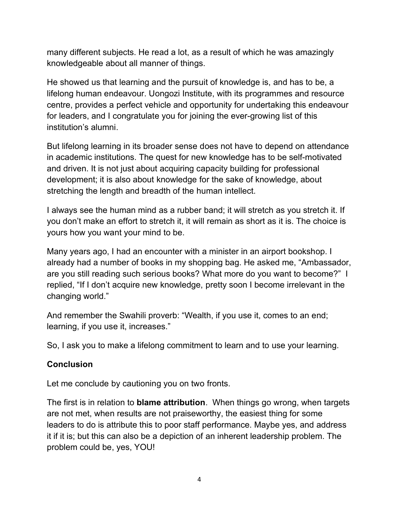many different subjects. He read a lot, as a result of which he was amazingly knowledgeable about all manner of things.

He showed us that learning and the pursuit of knowledge is, and has to be, a lifelong human endeavour. Uongozi Institute, with its programmes and resource centre, provides a perfect vehicle and opportunity for undertaking this endeavour for leaders, and I congratulate you for joining the ever-growing list of this institution's alumni.

But lifelong learning in its broader sense does not have to depend on attendance in academic institutions. The quest for new knowledge has to be self-motivated and driven. It is not just about acquiring capacity building for professional development; it is also about knowledge for the sake of knowledge, about stretching the length and breadth of the human intellect.

I always see the human mind as a rubber band; it will stretch as you stretch it. If you don't make an effort to stretch it, it will remain as short as it is. The choice is yours how you want your mind to be.

Many years ago, I had an encounter with a minister in an airport bookshop. I already had a number of books in my shopping bag. He asked me, "Ambassador, are you still reading such serious books? What more do you want to become?" I replied, "If I don't acquire new knowledge, pretty soon I become irrelevant in the changing world."

And remember the Swahili proverb: "Wealth, if you use it, comes to an end; learning, if you use it, increases."

So, I ask you to make a lifelong commitment to learn and to use your learning.

## **Conclusion**

Let me conclude by cautioning you on two fronts.

The first is in relation to **blame attribution**. When things go wrong, when targets are not met, when results are not praiseworthy, the easiest thing for some leaders to do is attribute this to poor staff performance. Maybe yes, and address it if it is; but this can also be a depiction of an inherent leadership problem. The problem could be, yes, YOU!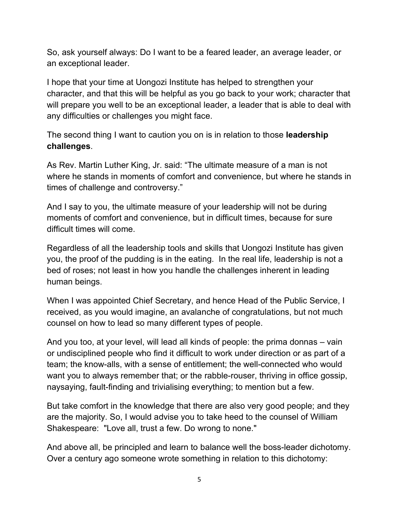So, ask yourself always: Do I want to be a feared leader, an average leader, or an exceptional leader.

I hope that your time at Uongozi Institute has helped to strengthen your character, and that this will be helpful as you go back to your work; character that will prepare you well to be an exceptional leader, a leader that is able to deal with any difficulties or challenges you might face.

The second thing I want to caution you on is in relation to those **leadership challenges**.

As Rev. Martin Luther King, Jr. said: "The ultimate measure of a man is not where he stands in moments of comfort and convenience, but where he stands in times of challenge and controversy."

And I say to you, the ultimate measure of your leadership will not be during moments of comfort and convenience, but in difficult times, because for sure difficult times will come.

Regardless of all the leadership tools and skills that Uongozi Institute has given you, the proof of the pudding is in the eating. In the real life, leadership is not a bed of roses; not least in how you handle the challenges inherent in leading human beings.

When I was appointed Chief Secretary, and hence Head of the Public Service, I received, as you would imagine, an avalanche of congratulations, but not much counsel on how to lead so many different types of people.

And you too, at your level, will lead all kinds of people: the prima donnas – vain or undisciplined people who find it difficult to work under direction or as part of a team; the know-alls, with a sense of entitlement; the well-connected who would want you to always remember that; or the rabble-rouser, thriving in office gossip, naysaying, fault-finding and trivialising everything; to mention but a few.

But take comfort in the knowledge that there are also very good people; and they are the majority. So, I would advise you to take heed to the counsel of William Shakespeare: "Love all, trust a few. Do wrong to none."

And above all, be principled and learn to balance well the boss-leader dichotomy. Over a century ago someone wrote something in relation to this dichotomy: